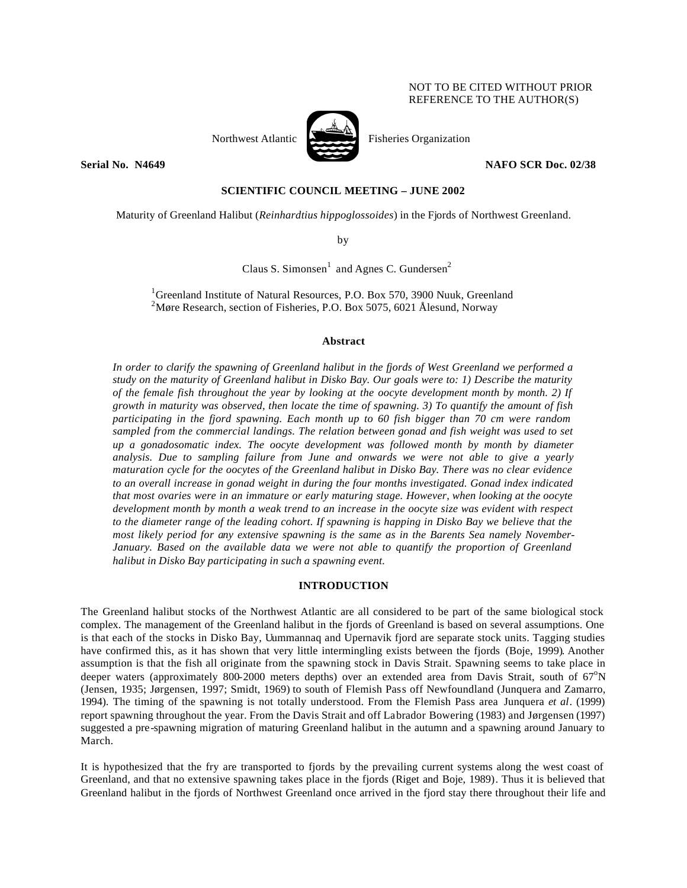# NOT TO BE CITED WITHOUT PRIOR REFERENCE TO THE AUTHOR(S)





Northwest Atlantic Fisheries Organization

**Serial No. N4649 NAFO SCR Doc. 02/38** 

# **SCIENTIFIC COUNCIL MEETING – JUNE 2002**

Maturity of Greenland Halibut (*Reinhardtius hippoglossoides*) in the Fjords of Northwest Greenland.

by

Claus S. Simonsen<sup>1</sup> and Agnes C. Gundersen<sup>2</sup>

<sup>1</sup>Greenland Institute of Natural Resources, P.O. Box 570, 3900 Nuuk, Greenland <sup>2</sup>Møre Research, section of Fisheries, P.O. Box 5075, 6021 Ålesund, Norway

### **Abstract**

*In order to clarify the spawning of Greenland halibut in the fjords of West Greenland we performed a study on the maturity of Greenland halibut in Disko Bay. Our goals were to: 1) Describe the maturity of the female fish throughout the year by looking at the oocyte development month by month. 2) If growth in maturity was observed, then locate the time of spawning. 3) To quantify the amount of fish participating in the fjord spawning. Each month up to 60 fish bigger than 70 cm were random sampled from the commercial landings. The relation between gonad and fish weight was used to set up a gonadosomatic index. The oocyte development was followed month by month by diameter analysis. Due to sampling failure from June and onwards we were not able to give a yearly maturation cycle for the oocytes of the Greenland halibut in Disko Bay. There was no clear evidence to an overall increase in gonad weight in during the four months investigated. Gonad index indicated that most ovaries were in an immature or early maturing stage. However, when looking at the oocyte development month by month a weak trend to an increase in the oocyte size was evident with respect to the diameter range of the leading cohort. If spawning is happing in Disko Bay we believe that the most likely period for any extensive spawning is the same as in the Barents Sea namely November-January. Based on the available data we were not able to quantify the proportion of Greenland halibut in Disko Bay participating in such a spawning event.* 

## **INTRODUCTION**

The Greenland halibut stocks of the Northwest Atlantic are all considered to be part of the same biological stock complex. The management of the Greenland halibut in the fjords of Greenland is based on several assumptions. One is that each of the stocks in Disko Bay, Uummannaq and Upernavik fjord are separate stock units. Tagging studies have confirmed this, as it has shown that very little intermingling exists between the fjords (Boje, 1999). Another assumption is that the fish all originate from the spawning stock in Davis Strait. Spawning seems to take place in deeper waters (approximately 800-2000 meters depths) over an extended area from Davis Strait, south of  $67^{\circ}N$ (Jensen, 1935; Jørgensen, 1997; Smidt, 1969) to south of Flemish Pass off Newfoundland (Junquera and Zamarro, 1994). The timing of the spawning is not totally understood. From the Flemish Pass area Junquera *et al*. (1999) report spawning throughout the year. From the Davis Strait and off Labrador Bowering (1983) and Jørgensen (1997) suggested a pre-spawning migration of maturing Greenland halibut in the autumn and a spawning around January to March.

It is hypothesized that the fry are transported to fjords by the prevailing current systems along the west coast of Greenland, and that no extensive spawning takes place in the fjords (Riget and Boje, 1989). Thus it is believed that Greenland halibut in the fjords of Northwest Greenland once arrived in the fjord stay there throughout their life and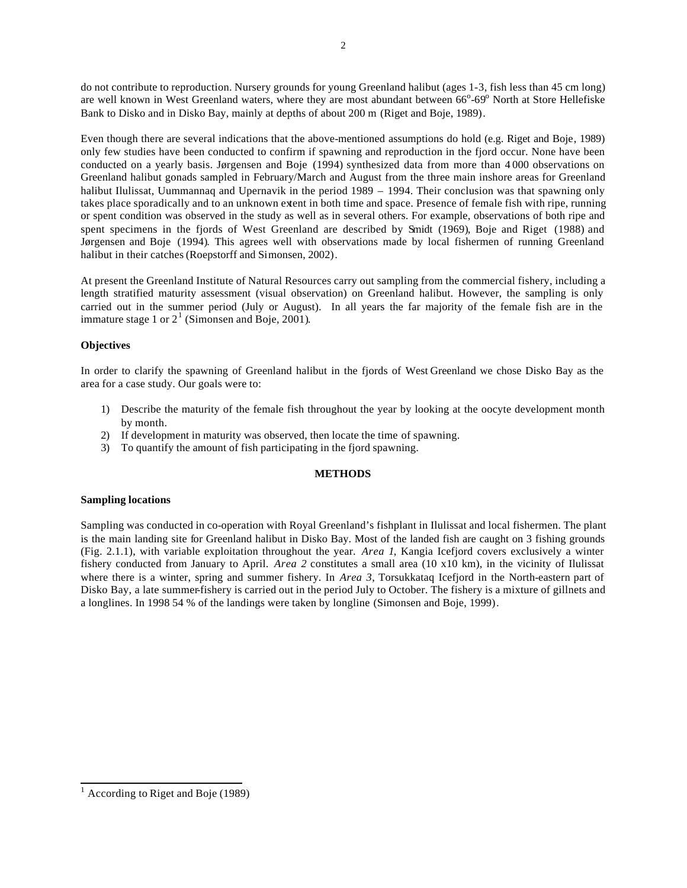do not contribute to reproduction. Nursery grounds for young Greenland halibut (ages 1-3, fish less than 45 cm long) are well known in West Greenland waters, where they are most abundant between 66°-69° North at Store Hellefiske Bank to Disko and in Disko Bay, mainly at depths of about 200 m (Riget and Boje, 1989).

Even though there are several indications that the above-mentioned assumptions do hold (e.g. Riget and Boje, 1989) only few studies have been conducted to confirm if spawning and reproduction in the fjord occur. None have been conducted on a yearly basis. Jørgensen and Boje (1994) synthesized data from more than 4 000 observations on Greenland halibut gonads sampled in February/March and August from the three main inshore areas for Greenland halibut Ilulissat, Uummannaq and Upernavik in the period 1989 – 1994. Their conclusion was that spawning only takes place sporadically and to an unknown extent in both time and space. Presence of female fish with ripe, running or spent condition was observed in the study as well as in several others. For example, observations of both ripe and spent specimens in the fjords of West Greenland are described by Smidt (1969), Boje and Riget (1988) and Jørgensen and Boje (1994). This agrees well with observations made by local fishermen of running Greenland halibut in their catches (Roepstorff and Simonsen, 2002).

At present the Greenland Institute of Natural Resources carry out sampling from the commercial fishery, including a length stratified maturity assessment (visual observation) on Greenland halibut. However, the sampling is only carried out in the summer period (July or August). In all years the far majority of the female fish are in the immature stage 1 or  $2^1$  (Simonsen and Boje, 2001).

# **Objectives**

In order to clarify the spawning of Greenland halibut in the fjords of West Greenland we chose Disko Bay as the area for a case study. Our goals were to:

- 1) Describe the maturity of the female fish throughout the year by looking at the oocyte development month by month.
- 2) If development in maturity was observed, then locate the time of spawning.
- 3) To quantify the amount of fish participating in the fjord spawning.

## **METHODS**

## **Sampling locations**

Sampling was conducted in co-operation with Royal Greenland's fishplant in Ilulissat and local fishermen. The plant is the main landing site for Greenland halibut in Disko Bay. Most of the landed fish are caught on 3 fishing grounds (Fig. 2.1.1), with variable exploitation throughout the year. *Area 1*, Kangia Icefjord covers exclusively a winter fishery conducted from January to April. *Area 2* constitutes a small area (10 x10 km), in the vicinity of Ilulissat where there is a winter, spring and summer fishery. In *Area 3,* Torsukkataq Icefjord in the North-eastern part of Disko Bay, a late summer-fishery is carried out in the period July to October. The fishery is a mixture of gillnets and a longlines. In 1998 54 % of the landings were taken by longline (Simonsen and Boje, 1999).

<sup>&</sup>lt;sup>1</sup> According to Riget and Boje (1989)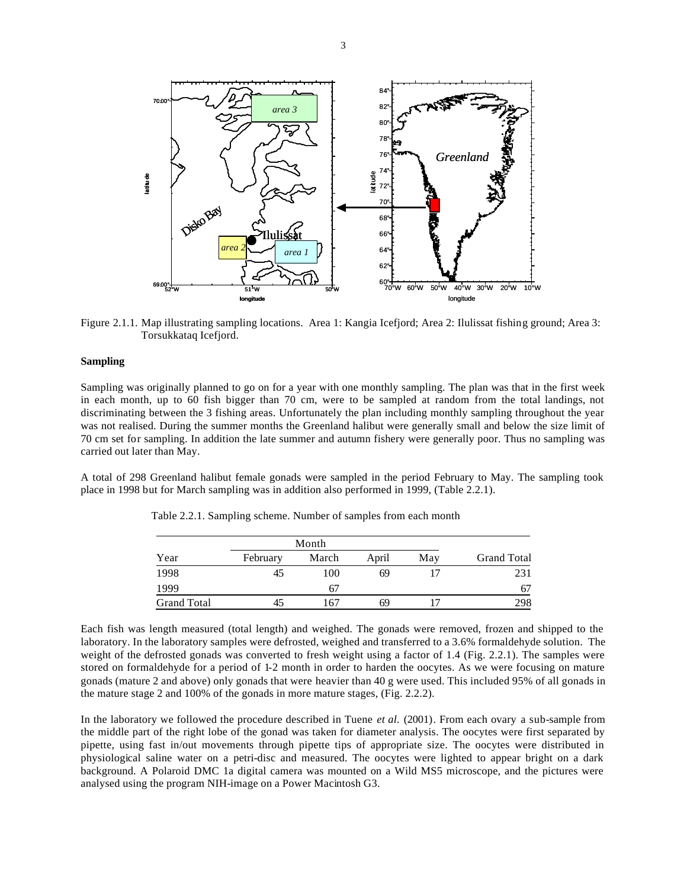

Figure 2.1.1. Map illustrating sampling locations. Area 1: Kangia Icefjord; Area 2: Ilulissat fishing ground; Area 3: Torsukkataq Icefjord.

#### **Sampling**

Sampling was originally planned to go on for a year with one monthly sampling. The plan was that in the first week in each month, up to 60 fish bigger than 70 cm, were to be sampled at random from the total landings, not discriminating between the 3 fishing areas. Unfortunately the plan including monthly sampling throughout the year was not realised. During the summer months the Greenland halibut were generally small and below the size limit of 70 cm set for sampling. In addition the late summer and autumn fishery were generally poor. Thus no sampling was carried out later than May.

A total of 298 Greenland halibut female gonads were sampled in the period February to May. The sampling took place in 1998 but for March sampling was in addition also performed in 1999, (Table 2.2.1).

|  | Table 2.2.1. Sampling scheme. Number of samples from each month |  |  |  |  |  |  |  |  |
|--|-----------------------------------------------------------------|--|--|--|--|--|--|--|--|
|--|-----------------------------------------------------------------|--|--|--|--|--|--|--|--|

| Year               | February | March | April | May | <b>Grand Total</b> |
|--------------------|----------|-------|-------|-----|--------------------|
| 1998               | 45       | 100   | 69    |     | 231                |
| 1999               |          | 67    |       |     | 67                 |
| <b>Grand Total</b> |          | 167   | 69    |     | 298                |

Each fish was length measured (total length) and weighed. The gonads were removed, frozen and shipped to the laboratory. In the laboratory samples were defrosted, weighed and transferred to a 3.6% formaldehyde solution. The weight of the defrosted gonads was converted to fresh weight using a factor of 1.4 (Fig. 2.2.1). The samples were stored on formaldehyde for a period of 1-2 month in order to harden the oocytes. As we were focusing on mature gonads (mature 2 and above) only gonads that were heavier than 40 g were used. This included 95% of all gonads in the mature stage 2 and 100% of the gonads in more mature stages, (Fig. 2.2.2).

In the laboratory we followed the procedure described in Tuene *et al.* (2001). From each ovary a sub-sample from the middle part of the right lobe of the gonad was taken for diameter analysis. The oocytes were first separated by pipette, using fast in/out movements through pipette tips of appropriate size. The oocytes were distributed in physiological saline water on a petri-disc and measured. The oocytes were lighted to appear bright on a dark background. A Polaroid DMC 1a digital camera was mounted on a Wild MS5 microscope, and the pictures were analysed using the program NIH-image on a Power Macintosh G3.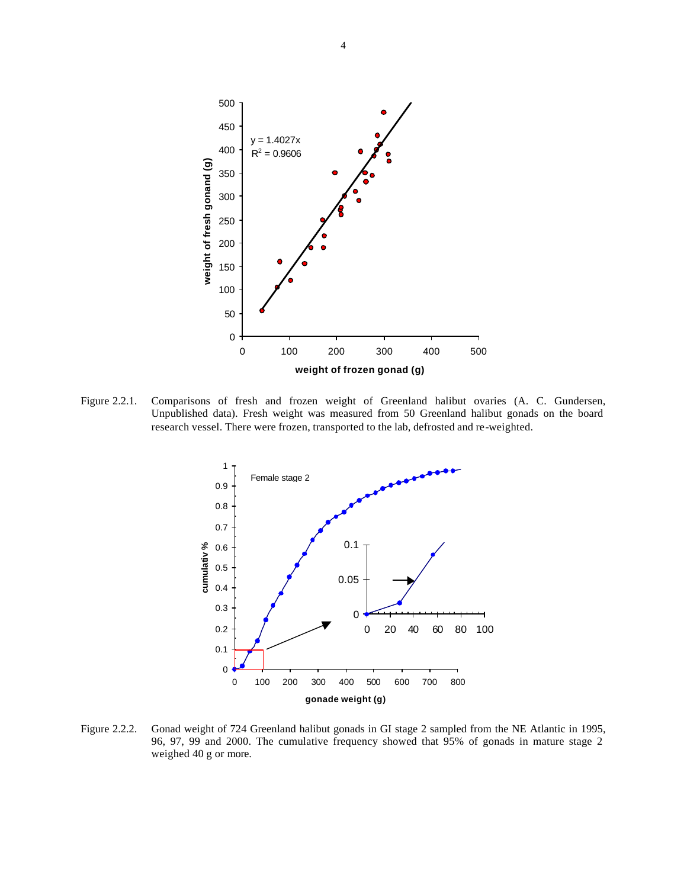

Figure 2.2.1. Comparisons of fresh and frozen weight of Greenland halibut ovaries (A. C. Gundersen, Unpublished data). Fresh weight was measured from 50 Greenland halibut gonads on the board research vessel. There were frozen, transported to the lab, defrosted and re-weighted.



Figure 2.2.2. Gonad weight of 724 Greenland halibut gonads in GI stage 2 sampled from the NE Atlantic in 1995, 96, 97, 99 and 2000. The cumulative frequency showed that 95% of gonads in mature stage 2 weighed 40 g or more.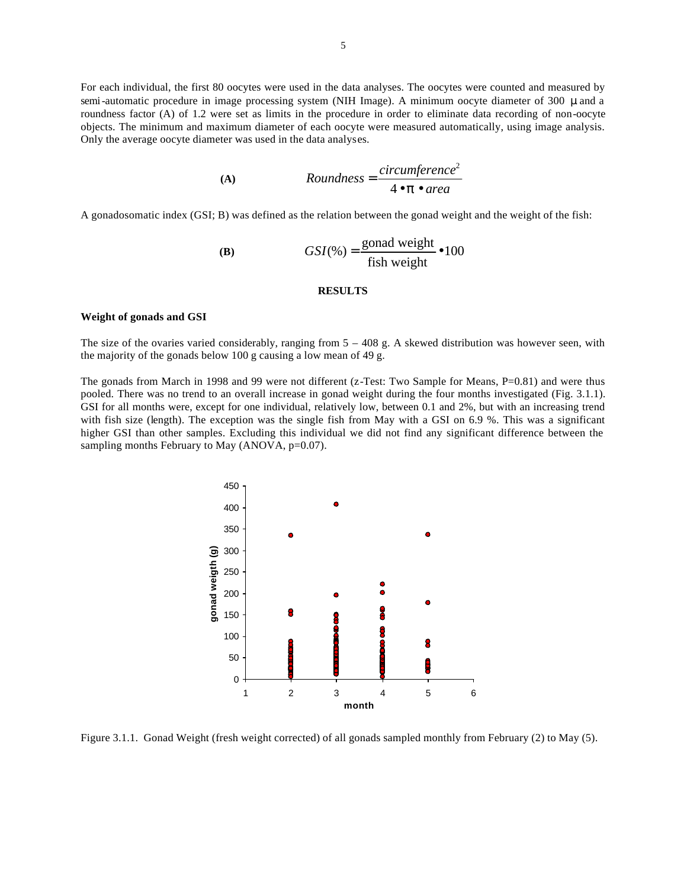For each individual, the first 80 oocytes were used in the data analyses. The oocytes were counted and measured by semi-automatic procedure in image processing system (NIH Image). A minimum oocyte diameter of 300 μ and a roundness factor (A) of 1.2 were set as limits in the procedure in order to eliminate data recording of non-oocyte objects. The minimum and maximum diameter of each oocyte were measured automatically, using image analysis. Only the average oocyte diameter was used in the data analyses.

(A) 
$$
Roundness = \frac{circumference^2}{4 \cdot p \cdot area}
$$

A gonadosomatic index (GSI; B) was defined as the relation between the gonad weight and the weight of the fish:

(B) 
$$
GSI(\%) = \frac{\text{gonad weight}}{\text{fish weight}} \bullet 100
$$

### **RESULTS**

#### **Weight of gonads and GSI**

The size of the ovaries varied considerably, ranging from  $5 - 408$  g. A skewed distribution was however seen, with the majority of the gonads below 100 g causing a low mean of 49 g.

The gonads from March in 1998 and 99 were not different (z-Test: Two Sample for Means, P=0.81) and were thus pooled. There was no trend to an overall increase in gonad weight during the four months investigated (Fig. 3.1.1). GSI for all months were, except for one individual, relatively low, between 0.1 and 2%, but with an increasing trend with fish size (length). The exception was the single fish from May with a GSI on 6.9 %. This was a significant higher GSI than other samples. Excluding this individual we did not find any significant difference between the sampling months February to May (ANOVA, p=0.07).



Figure 3.1.1. Gonad Weight (fresh weight corrected) of all gonads sampled monthly from February (2) to May (5).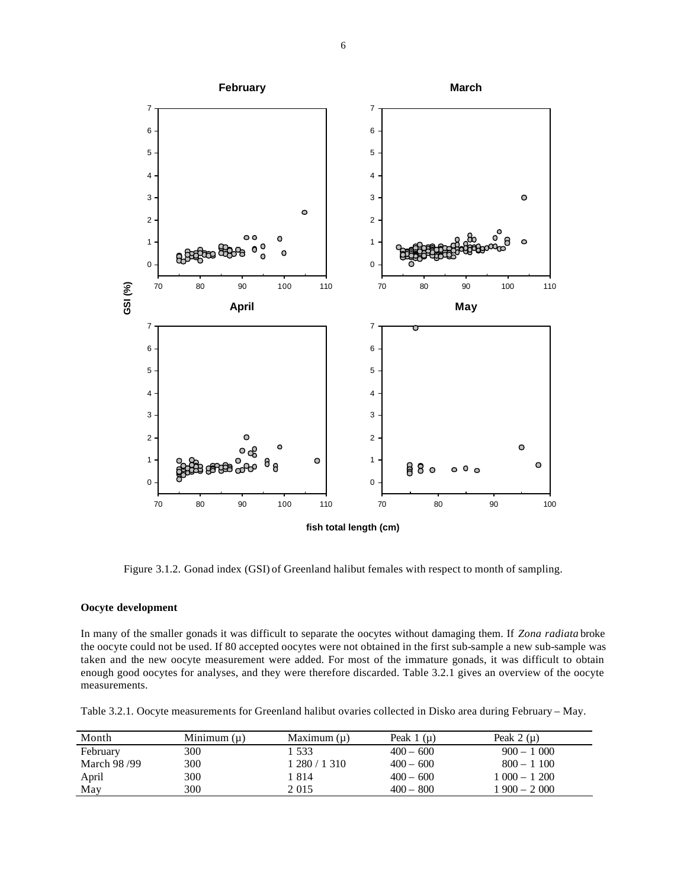

Figure 3.1.2. Gonad index (GSI) of Greenland halibut females with respect to month of sampling.

#### **Oocyte development**

In many of the smaller gonads it was difficult to separate the oocytes without damaging them. If *Zona radiata* broke the oocyte could not be used. If 80 accepted oocytes were not obtained in the first sub-sample a new sub-sample was taken and the new oocyte measurement were added. For most of the immature gonads, it was difficult to obtain enough good oocytes for analyses, and they were therefore discarded. Table 3.2.1 gives an overview of the oocyte measurements.

Table 3.2.1. Oocyte measurements for Greenland halibut ovaries collected in Disko area during February – May.

| Month       | Minimum $(\mu)$ | Maximum $(\mu)$ | Peak $1(\mu)$ | Peak $2(\mu)$ |
|-------------|-----------------|-----------------|---------------|---------------|
| February    | 300             | 1 533           | $400 - 600$   | $900 - 1000$  |
| March 98/99 | 300             | 1 280 / 1 310   | $400 - 600$   | $800 - 1100$  |
| April       | 300             | 1814            | $400 - 600$   | $1000 - 1200$ |
| May         | 300             | 2 0 1 5         | $400 - 800$   | $1900 - 2000$ |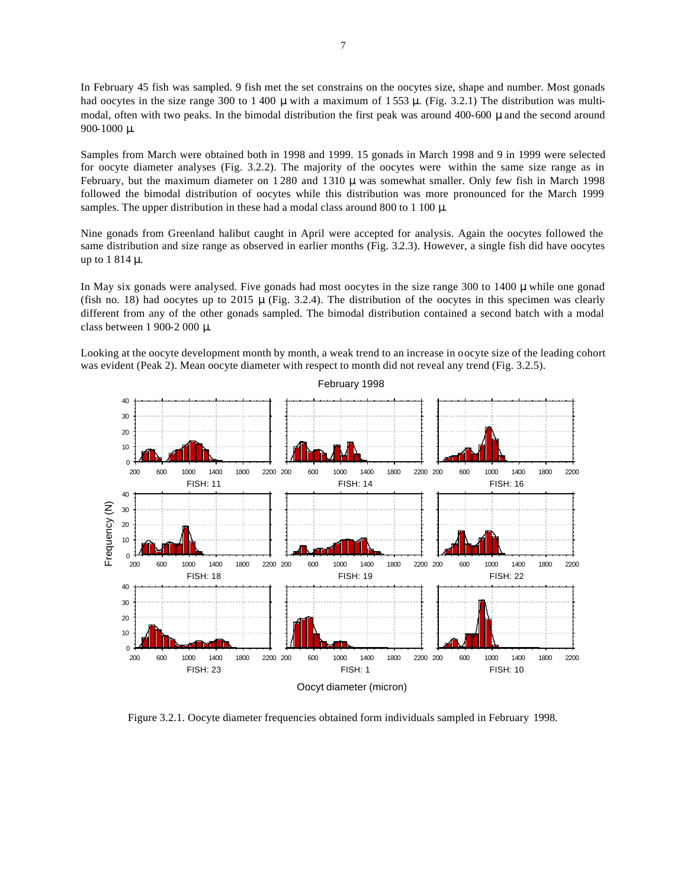In February 45 fish was sampled. 9 fish met the set constrains on the oocytes size, shape and number. Most gonads had oocytes in the size range 300 to 1 400  $\mu$  with a maximum of 1 553  $\mu$ . (Fig. 3.2.1) The distribution was multimodal, often with two peaks. In the bimodal distribution the first peak was around 400-600 μ and the second around 900-1000 μ.

Samples from March were obtained both in 1998 and 1999. 15 gonads in March 1998 and 9 in 1999 were selected for oocyte diameter analyses (Fig. 3.2.2). The majority of the oocytes were within the same size range as in February, but the maximum diameter on 1 280 and 1310 μ was somewhat smaller. Only few fish in March 1998 followed the bimodal distribution of oocytes while this distribution was more pronounced for the March 1999 samples. The upper distribution in these had a modal class around 800 to 1 100  $\mu$ .

Nine gonads from Greenland halibut caught in April were accepted for analysis. Again the oocytes followed the same distribution and size range as observed in earlier months (Fig. 3.2.3). However, a single fish did have oocytes up to 1 814 μ.

In May six gonads were analysed. Five gonads had most oocytes in the size range 300 to 1400 μ while one gonad (fish no. 18) had oocytes up to 2015  $\mu$  (Fig. 3.2.4). The distribution of the oocytes in this specimen was clearly different from any of the other gonads sampled. The bimodal distribution contained a second batch with a modal class between 1 900-2 000 μ.

Looking at the oocyte development month by month, a weak trend to an increase in oocyte size of the leading cohort was evident (Peak 2). Mean oocyte diameter with respect to month did not reveal any trend (Fig. 3.2.5).



Figure 3.2.1. Oocyte diameter frequencies obtained form individuals sampled in February 1998.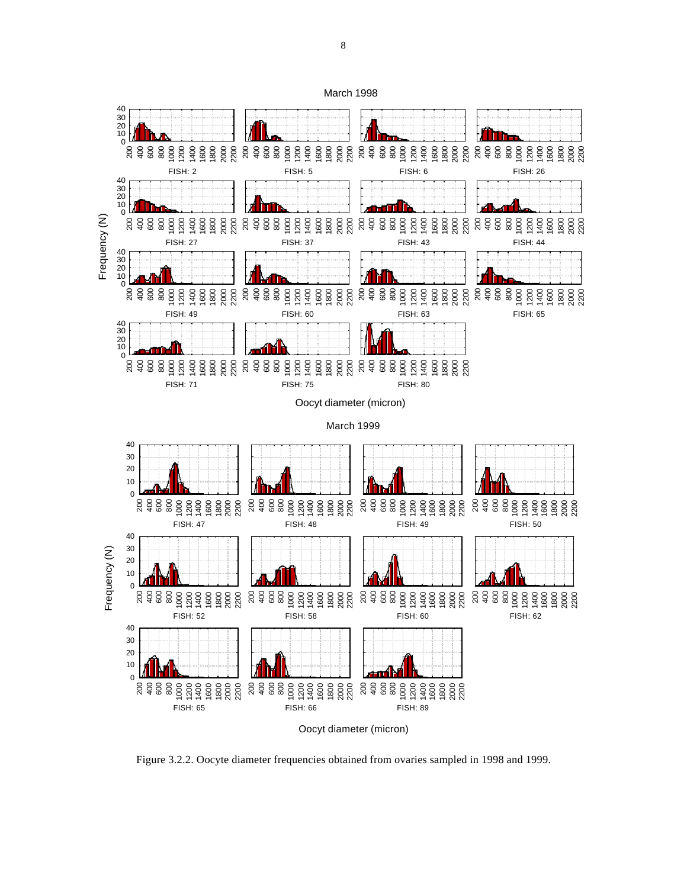

Oocyt diameter (micron)

Figure 3.2.2. Oocyte diameter frequencies obtained from ovaries sampled in 1998 and 1999.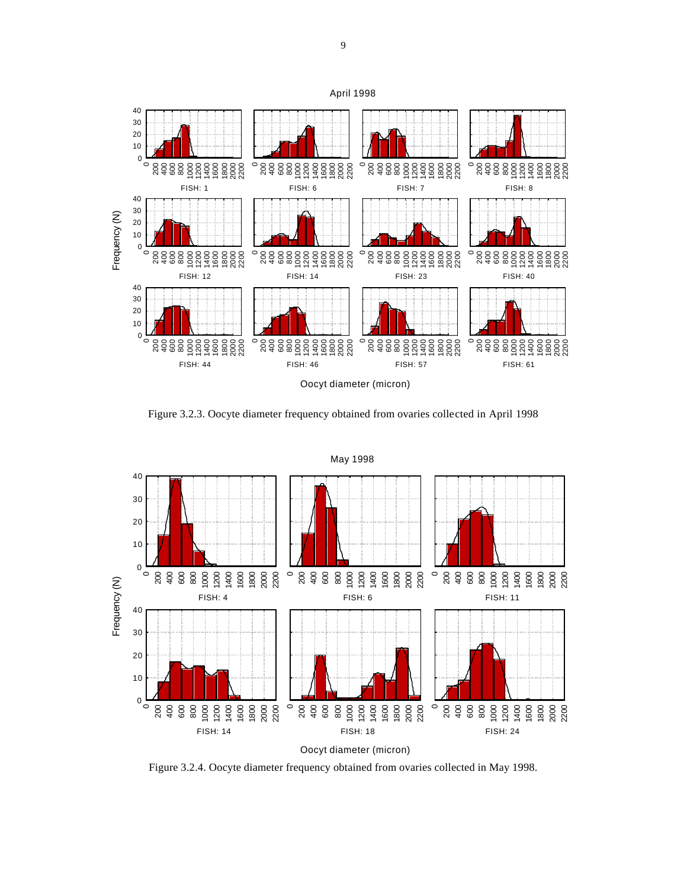

Figure 3.2.3. Oocyte diameter frequency obtained from ovaries collected in April 1998



Figure 3.2.4. Oocyte diameter frequency obtained from ovaries collected in May 1998.

April 1998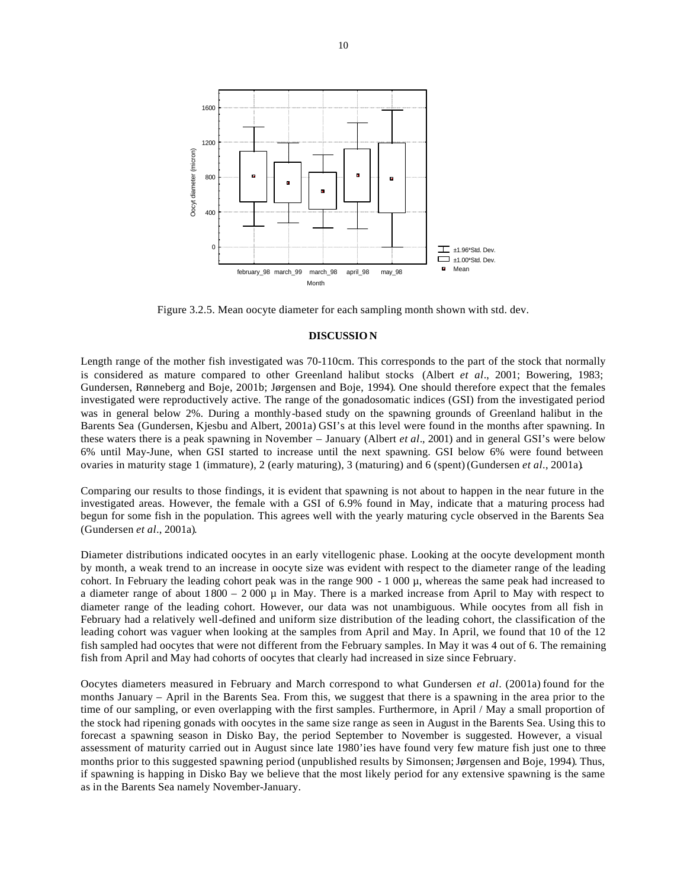

Figure 3.2.5. Mean oocyte diameter for each sampling month shown with std. dev.

#### **DISCUSSION**

Length range of the mother fish investigated was 70-110cm. This corresponds to the part of the stock that normally is considered as mature compared to other Greenland halibut stocks (Albert *et al*., 2001; Bowering, 1983; Gundersen, Rønneberg and Boje, 2001b; Jørgensen and Boje, 1994). One should therefore expect that the females investigated were reproductively active. The range of the gonadosomatic indices (GSI) from the investigated period was in general below 2%. During a monthly-based study on the spawning grounds of Greenland halibut in the Barents Sea (Gundersen, Kjesbu and Albert, 2001a) GSI's at this level were found in the months after spawning. In these waters there is a peak spawning in November – January (Albert *et al*., 2001) and in general GSI's were below 6% until May-June, when GSI started to increase until the next spawning. GSI below 6% were found between ovaries in maturity stage 1 (immature), 2 (early maturing), 3 (maturing) and 6 (spent)(Gundersen *et al*., 2001a).

Comparing our results to those findings, it is evident that spawning is not about to happen in the near future in the investigated areas. However, the female with a GSI of 6.9% found in May, indicate that a maturing process had begun for some fish in the population. This agrees well with the yearly maturing cycle observed in the Barents Sea (Gundersen *et al*., 2001a).

Diameter distributions indicated oocytes in an early vitellogenic phase. Looking at the oocyte development month by month, a weak trend to an increase in oocyte size was evident with respect to the diameter range of the leading cohort. In February the leading cohort peak was in the range 900 - 1 000 µ, whereas the same peak had increased to a diameter range of about  $1800 - 2000 \mu$  in May. There is a marked increase from April to May with respect to diameter range of the leading cohort. However, our data was not unambiguous. While oocytes from all fish in February had a relatively well-defined and uniform size distribution of the leading cohort, the classification of the leading cohort was vaguer when looking at the samples from April and May. In April, we found that 10 of the 12 fish sampled had oocytes that were not different from the February samples. In May it was 4 out of 6. The remaining fish from April and May had cohorts of oocytes that clearly had increased in size since February.

Oocytes diameters measured in February and March correspond to what Gundersen *et al*. (2001a) found for the months January – April in the Barents Sea. From this, we suggest that there is a spawning in the area prior to the time of our sampling, or even overlapping with the first samples. Furthermore, in April / May a small proportion of the stock had ripening gonads with oocytes in the same size range as seen in August in the Barents Sea. Using this to forecast a spawning season in Disko Bay, the period September to November is suggested. However, a visual assessment of maturity carried out in August since late 1980'ies have found very few mature fish just one to three months prior to this suggested spawning period (unpublished results by Simonsen; Jørgensen and Boje, 1994). Thus, if spawning is happing in Disko Bay we believe that the most likely period for any extensive spawning is the same as in the Barents Sea namely November-January.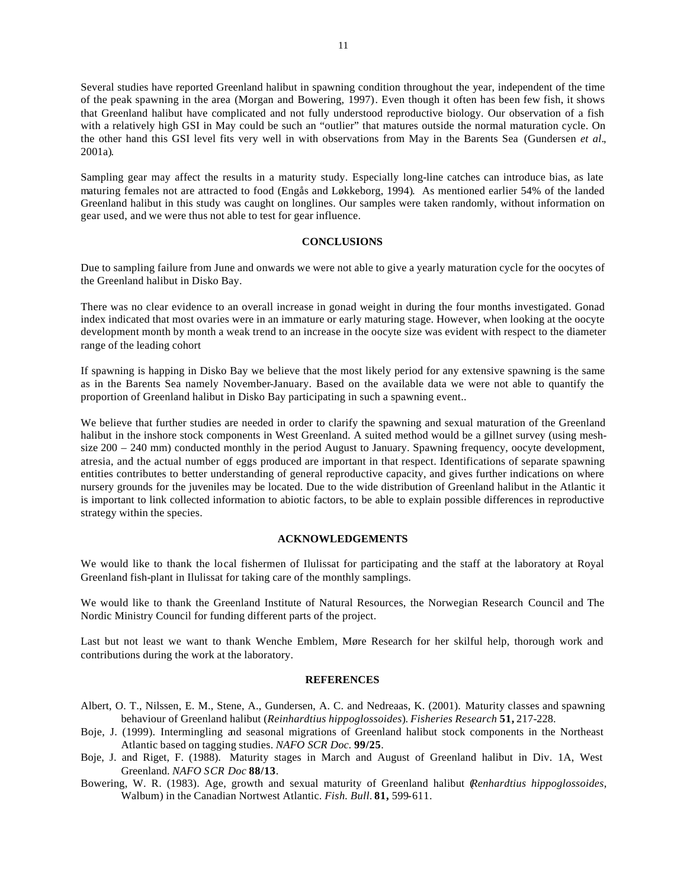Several studies have reported Greenland halibut in spawning condition throughout the year, independent of the time of the peak spawning in the area (Morgan and Bowering, 1997). Even though it often has been few fish, it shows that Greenland halibut have complicated and not fully understood reproductive biology. Our observation of a fish with a relatively high GSI in May could be such an "outlier" that matures outside the normal maturation cycle. On the other hand this GSI level fits very well in with observations from May in the Barents Sea (Gundersen *et al*., 2001a).

Sampling gear may affect the results in a maturity study. Especially long-line catches can introduce bias, as late maturing females not are attracted to food (Engås and Løkkeborg, 1994). As mentioned earlier 54% of the landed Greenland halibut in this study was caught on longlines. Our samples were taken randomly, without information on gear used, and we were thus not able to test for gear influence.

### **CONCLUSIONS**

Due to sampling failure from June and onwards we were not able to give a yearly maturation cycle for the oocytes of the Greenland halibut in Disko Bay.

There was no clear evidence to an overall increase in gonad weight in during the four months investigated. Gonad index indicated that most ovaries were in an immature or early maturing stage. However, when looking at the oocyte development month by month a weak trend to an increase in the oocyte size was evident with respect to the diameter range of the leading cohort

If spawning is happing in Disko Bay we believe that the most likely period for any extensive spawning is the same as in the Barents Sea namely November-January. Based on the available data we were not able to quantify the proportion of Greenland halibut in Disko Bay participating in such a spawning event..

We believe that further studies are needed in order to clarify the spawning and sexual maturation of the Greenland halibut in the inshore stock components in West Greenland. A suited method would be a gillnet survey (using meshsize 200 – 240 mm) conducted monthly in the period August to January. Spawning frequency, oocyte development, atresia, and the actual number of eggs produced are important in that respect. Identifications of separate spawning entities contributes to better understanding of general reproductive capacity, and gives further indications on where nursery grounds for the juveniles may be located. Due to the wide distribution of Greenland halibut in the Atlantic it is important to link collected information to abiotic factors, to be able to explain possible differences in reproductive strategy within the species.

#### **ACKNOWLEDGEMENTS**

We would like to thank the local fishermen of Ilulissat for participating and the staff at the laboratory at Royal Greenland fish-plant in Ilulissat for taking care of the monthly samplings.

We would like to thank the Greenland Institute of Natural Resources, the Norwegian Research Council and The Nordic Ministry Council for funding different parts of the project.

Last but not least we want to thank Wenche Emblem, Møre Research for her skilful help, thorough work and contributions during the work at the laboratory.

#### **REFERENCES**

- Albert, O. T., Nilssen, E. M., Stene, A., Gundersen, A. C. and Nedreaas, K. (2001). Maturity classes and spawning behaviour of Greenland halibut (*Reinhardtius hippoglossoides*). *Fisheries Research* **51,** 217-228.
- Boje, J. (1999). Intermingling and seasonal migrations of Greenland halibut stock components in the Northeast Atlantic based on tagging studies. *NAFO SCR Doc.* **99/25**.
- Boje, J. and Riget, F. (1988). Maturity stages in March and August of Greenland halibut in Div. 1A, West Greenland. *NAFO SCR Doc* **88/13**.
- Bowering, W. R. (1983). Age, growth and sexual maturity of Greenland halibut (*Renhardtius hippoglossoides*, Walbum) in the Canadian Nortwest Atlantic. *Fish. Bull.* **81,** 599-611.